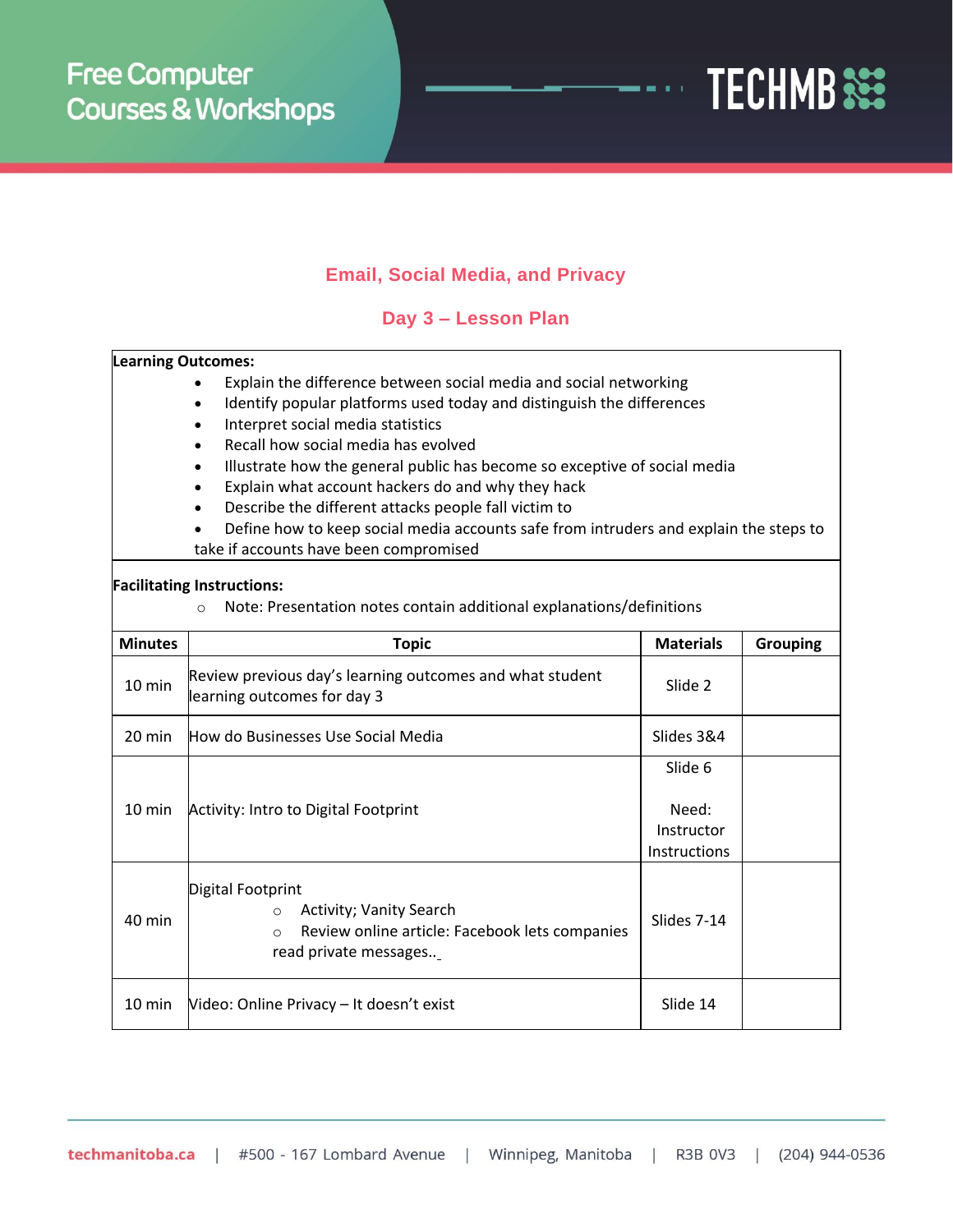

## **Email, Social Media, and Privacy**

## **Day 3 – Lesson Plan**

| <b>Learning Outcomes:</b>         |                                                                                       |                  |                 |  |  |  |
|-----------------------------------|---------------------------------------------------------------------------------------|------------------|-----------------|--|--|--|
|                                   | Explain the difference between social media and social networking                     |                  |                 |  |  |  |
|                                   | Identify popular platforms used today and distinguish the differences                 |                  |                 |  |  |  |
|                                   | Interpret social media statistics                                                     |                  |                 |  |  |  |
|                                   | Recall how social media has evolved                                                   |                  |                 |  |  |  |
|                                   | Illustrate how the general public has become so exceptive of social media             |                  |                 |  |  |  |
|                                   | Explain what account hackers do and why they hack                                     |                  |                 |  |  |  |
|                                   | Describe the different attacks people fall victim to                                  |                  |                 |  |  |  |
|                                   | Define how to keep social media accounts safe from intruders and explain the steps to |                  |                 |  |  |  |
|                                   | take if accounts have been compromised                                                |                  |                 |  |  |  |
| <b>Facilitating Instructions:</b> |                                                                                       |                  |                 |  |  |  |
|                                   | Note: Presentation notes contain additional explanations/definitions<br>$\circ$       |                  |                 |  |  |  |
|                                   |                                                                                       |                  |                 |  |  |  |
| <b>Minutes</b>                    | <b>Topic</b>                                                                          | <b>Materials</b> | <b>Grouping</b> |  |  |  |
| 10 min                            | Review previous day's learning outcomes and what student                              |                  |                 |  |  |  |
|                                   | learning outcomes for day 3                                                           | Slide 2          |                 |  |  |  |
|                                   |                                                                                       |                  |                 |  |  |  |
| 20 min                            | How do Businesses Use Social Media                                                    | Slides 3&4       |                 |  |  |  |
| $10 \text{ min}$                  |                                                                                       | Slide 6          |                 |  |  |  |
|                                   |                                                                                       |                  |                 |  |  |  |
|                                   | Activity: Intro to Digital Footprint                                                  | Need:            |                 |  |  |  |
|                                   |                                                                                       | Instructor       |                 |  |  |  |
|                                   |                                                                                       | Instructions     |                 |  |  |  |
| 40 min                            |                                                                                       |                  |                 |  |  |  |
|                                   | Digital Footprint                                                                     |                  |                 |  |  |  |
|                                   | Activity; Vanity Search<br>$\circ$                                                    | Slides 7-14      |                 |  |  |  |
|                                   | Review online article: Facebook lets companies<br>$\Omega$                            |                  |                 |  |  |  |
|                                   | read private messages                                                                 |                  |                 |  |  |  |
|                                   |                                                                                       |                  |                 |  |  |  |
| $10 \text{ min}$                  | Video: Online Privacy - It doesn't exist                                              | Slide 14         |                 |  |  |  |